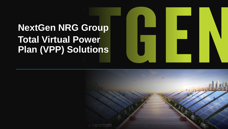## **NextGen NRG Group Total Virtual Power Plan (VPP) Solutions**



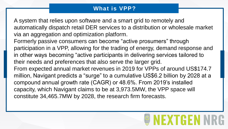## **What is VPP?**

A system that relies upon software and a smart grid to remotely and automatically dispatch retail DER services to a distribution or wholesale market via an aggregation and optimization platform. Formerly passive consumers can become "active prosumers" through participation in a VPP, allowing for the trading of energy, demand response and in other ways becoming "active participants in delivering services tailored to their needs and preferences that also serve the larger grid. From expected annual market revenues in 2019 for VPPs of around US\$174.7 million, Navigant predicts a "surge" to a cumulative US\$6.2 billion by 2028 at a compound annual growth rate (CAGR) or 48.6%. From 2019's installed capacity, which Navigant claims to be at 3,973.5MW, the VPP space will constitute 34,465.7MW by 2028, the research firm forecasts.

## IHM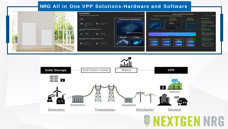### **NRG All in One VPP Solutions -Hardware and Software**





## **GENT** WRF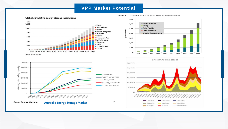#### **VPP Market Potential**



Source: BloombergNEF







Total VPP Market Revenue, World Markets: 2019-2028 Chart 1-1.